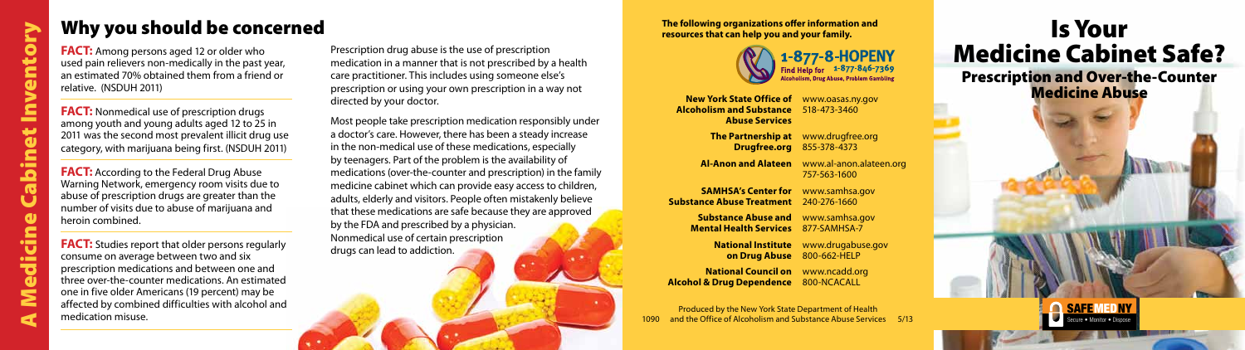

**The following organizations offer information and resources that can help you and your family.**



**New York State Office of** www.oasas.ny.gov **Alcoholism and Substance** 518-473-3460 **Abuse Services**

**SAMHSA's Center for www.samhsa.gov Substance Abuse Treatment** 240-276-1660

**The Partnership at** www.drugfree.org **Drugfree.org** 855-378-4373

Produced by the New York State Department of Health and the Office of Alcoholism and Substance Abuse Services 5/13

**Al-Anon and Alateen** www.al-anon.alateen.org 757-563-1600

**Substance Abuse and** www.samhsa.gov

**Mental Health Services** 877-SAMHSA-7

**National Institute** www.drugabuse.gov **on Drug Abuse** 800-662-HELP

**National Council on** www.ncadd.org **Alcohol & Drug Dependence** 800-NCACALL

**FACT:** Nonmedical use of prescription drugs among youth and young adults aged 12 to 25 in 2011 was the second most prevalent illicit drug use category, with marijuana being first. (NSDUH 2011)

**FACT:** According to the Federal Drug Abuse Warning Network, emergency room visits due to abuse of prescription drugs are greater than the number of visits due to abuse of marijuana and heroin combined.

# Is Your Medicine Cabinet Safe? Prescription and Over-the-Counter Medicine Abuse

**FACT:** Studies report that older persons regularly consume on average between two and six prescription medications and between one and three over-the-counter medications. An estimated one in five older Americans (19 percent) may be affected by combined difficulties with alcohol and medication misuse.

**FACT:** Among persons aged 12 or older who used pain relievers non-medically in the past year, an estimated 70% obtained them from a friend or relative. (NSDUH 2011)

Prescription drug abuse is the use of prescription medication in a manner that is not prescribed by a health care practitioner. This includes using someone else's prescription or using your own prescription in a way not directed by your doctor.

Most people take prescription medication responsibly under a doctor's care. However, there has been a steady increase in the non-medical use of these medications, especially by teenagers. Part of the problem is the availability of medications (over-the-counter and prescription) in the family medicine cabinet which can provide easy access to children, adults, elderly and visitors. People often mistakenly believe that these medications are safe because they are approved by the FDA and prescribed by a physician. Nonmedical use of certain prescription drugs can lead to addiction.

## Why you should be concerned